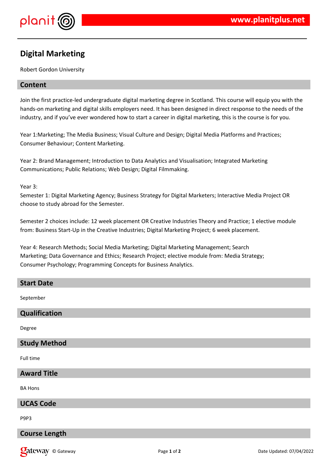

# **Digital Marketing**

Robert Gordon University

# **Content**

Join the first practice-led undergraduate digital marketing degree in Scotland. This course will equip you with the hands-on marketing and digital skills employers need. It has been designed in direct response to the needs of the industry, and if you've ever wondered how to start a career in digital marketing, this is the course is for you.

Year 1:Marketing; The Media Business; Visual Culture and Design; Digital Media Platforms and Practices; Consumer Behaviour; Content Marketing.

Year 2: Brand Management; Introduction to Data Analytics and Visualisation; Integrated Marketing Communications; Public Relations; Web Design; Digital Filmmaking.

Year 3:

Semester 1: Digital Marketing Agency; Business Strategy for Digital Marketers; Interactive Media Project OR choose to study abroad for the Semester.

Semester 2 choices include: 12 week placement OR Creative Industries Theory and Practice; 1 elective module from: Business Start-Up in the Creative Industries; Digital Marketing Project; 6 week placement.

Year 4: Research Methods; Social Media Marketing; Digital Marketing Management; Search Marketing; Data Governance and Ethics; Research Project; elective module from: Media Strategy; Consumer Psychology; Programming Concepts for Business Analytics.

| <b>Start Date</b>   |
|---------------------|
| September           |
| Qualification       |
| Degree              |
| <b>Study Method</b> |
| Full time           |
| <b>Award Title</b>  |
| <b>BA Hons</b>      |
| <b>UCAS Code</b>    |
| P9P3                |

# **Course Length**